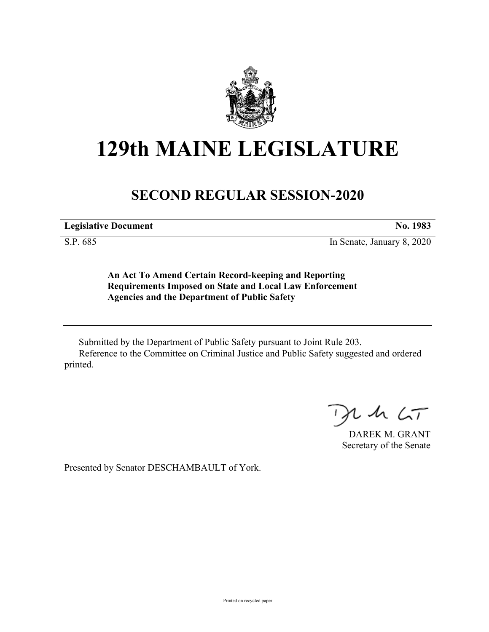

# **129th MAINE LEGISLATURE**

## **SECOND REGULAR SESSION-2020**

**Legislative Document No. 1983**

S.P. 685 In Senate, January 8, 2020

**An Act To Amend Certain Record-keeping and Reporting Requirements Imposed on State and Local Law Enforcement Agencies and the Department of Public Safety**

Submitted by the Department of Public Safety pursuant to Joint Rule 203. Reference to the Committee on Criminal Justice and Public Safety suggested and ordered printed.

 $2.42 < T$ 

DAREK M. GRANT Secretary of the Senate

Presented by Senator DESCHAMBAULT of York.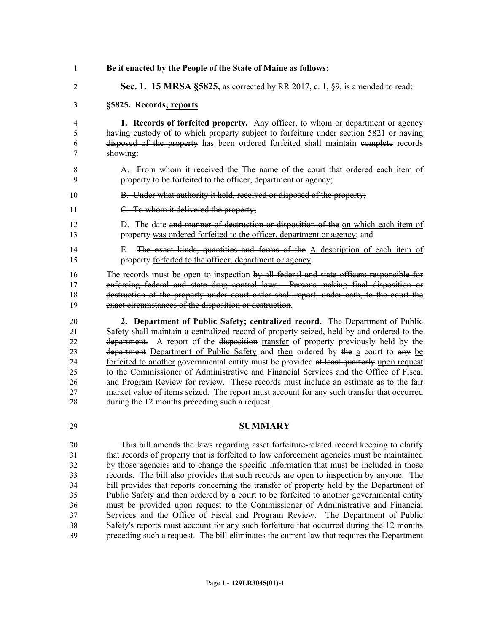- **Be it enacted by the People of the State of Maine as follows:**
- **Sec. 1. 15 MRSA §5825,** as corrected by RR 2017, c. 1, §9, is amended to read:

### **§5825. Records; reports**

 **1. Records of forfeited property.** Any officer, to whom or department or agency 5 having custody of to which property subject to forfeiture under section 5821 or having disposed of the property has been ordered forfeited shall maintain complete records showing:

- A. From whom it received the The name of the court that ordered each item of property to be forfeited to the officer, department or agency;
- 10 B. Under what authority it held, received or disposed of the property;
- C. To whom it delivered the property;
- D. The date and manner of destruction or disposition of the on which each item of property was ordered forfeited to the officer, department or agency; and
- 14 E. The exact kinds, quantities and forms of the A description of each item of property forfeited to the officer, department or agency.

16 The records must be open to inspection by all federal and state officers responsible for enforcing federal and state drug control laws. Persons making final disposition or 18 destruction of the property under court order shall report, under oath, to the court the exact circumstances of the disposition or destruction.

 **2. Department of Public Safety; centralized record.** The Department of Public Safety shall maintain a centralized record of property seized, held by and ordered to the department. A report of the disposition transfer of property previously held by the department Department of Public Safety and then ordered by the a court to any be 24 forfeited to another governmental entity must be provided at least quarterly upon request to the Commissioner of Administrative and Financial Services and the Office of Fiscal 26 and Program Review for review. These records must include an estimate as to the fair market value of items seized. The report must account for any such transfer that occurred during the 12 months preceding such a request.

#### **SUMMARY**

 This bill amends the laws regarding asset forfeiture-related record keeping to clarify that records of property that is forfeited to law enforcement agencies must be maintained by those agencies and to change the specific information that must be included in those records. The bill also provides that such records are open to inspection by anyone. The bill provides that reports concerning the transfer of property held by the Department of Public Safety and then ordered by a court to be forfeited to another governmental entity must be provided upon request to the Commissioner of Administrative and Financial Services and the Office of Fiscal and Program Review. The Department of Public Safety's reports must account for any such forfeiture that occurred during the 12 months preceding such a request. The bill eliminates the current law that requires the Department